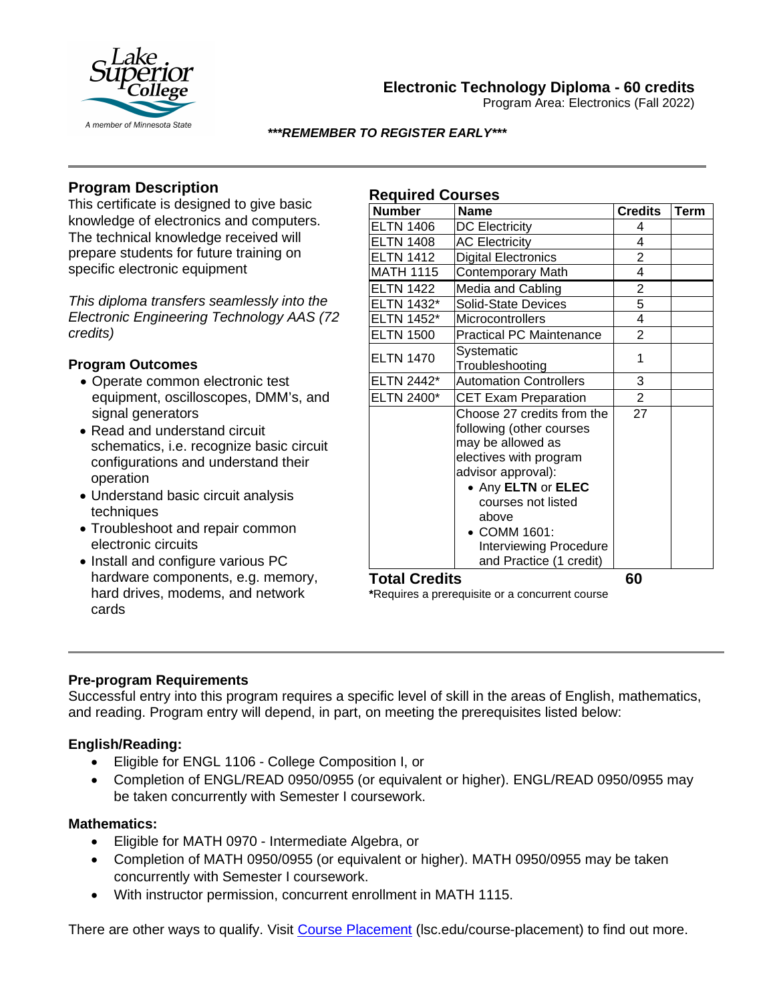

# **Electronic Technology Diploma - 60 credits**

Program Area: Electronics (Fall 2022)

### *\*\*\*REMEMBER TO REGISTER EARLY\*\*\**

**Required Courses**

# **Program Description**

This certificate is designed to give basic knowledge of electronics and computers. The technical knowledge received will prepare students for future training on specific electronic equipment

*This diploma transfers seamlessly into the Electronic Engineering Technology AAS (72 credits)*

## **Program Outcomes**

- Operate common electronic test equipment, oscilloscopes, DMM's, and signal generators
- Read and understand circuit schematics, i.e. recognize basic circuit configurations and understand their operation
- Understand basic circuit analysis techniques
- Troubleshoot and repair common electronic circuits
- Install and configure various PC hardware components, e.g. memory, hard drives, modems, and network cards

| <b>Required Courses</b> |                                                                                                                                                                                                                                                       |                |      |
|-------------------------|-------------------------------------------------------------------------------------------------------------------------------------------------------------------------------------------------------------------------------------------------------|----------------|------|
| <b>Number</b>           | <b>Name</b>                                                                                                                                                                                                                                           | <b>Credits</b> | Term |
| <b>ELTN 1406</b>        | <b>DC Electricity</b>                                                                                                                                                                                                                                 | 4              |      |
| <b>ELTN 1408</b>        | <b>AC Electricity</b>                                                                                                                                                                                                                                 | 4              |      |
| <b>ELTN 1412</b>        | <b>Digital Electronics</b>                                                                                                                                                                                                                            | $\overline{2}$ |      |
| <b>MATH 1115</b>        | <b>Contemporary Math</b>                                                                                                                                                                                                                              | 4              |      |
| <b>ELTN 1422</b>        | Media and Cabling                                                                                                                                                                                                                                     | 2              |      |
| ELTN 1432*              | <b>Solid-State Devices</b>                                                                                                                                                                                                                            | 5              |      |
| ELTN 1452*              | Microcontrollers                                                                                                                                                                                                                                      | 4              |      |
| <b>ELTN 1500</b>        | <b>Practical PC Maintenance</b>                                                                                                                                                                                                                       | $\overline{2}$ |      |
| <b>ELTN 1470</b>        | Systematic<br>Troubleshooting                                                                                                                                                                                                                         | 1              |      |
| ELTN 2442*              | <b>Automation Controllers</b>                                                                                                                                                                                                                         | 3              |      |
| <b>ELTN 2400*</b>       | <b>CET Exam Preparation</b>                                                                                                                                                                                                                           | $\overline{2}$ |      |
|                         | Choose 27 credits from the<br>following (other courses<br>may be allowed as<br>electives with program<br>advisor approval):<br>• Any ELTN or ELEC<br>courses not listed<br>above<br>• COMM 1601:<br>Interviewing Procedure<br>and Practice (1 credit) | 27             |      |

**Total Credits** 60<br>\*Requires a prerequisite or a concurrent course

## **Pre-program Requirements**

Successful entry into this program requires a specific level of skill in the areas of English, mathematics, and reading. Program entry will depend, in part, on meeting the prerequisites listed below:

# **English/Reading:**

- Eligible for ENGL 1106 College Composition I, or
- Completion of ENGL/READ 0950/0955 (or equivalent or higher). ENGL/READ 0950/0955 may be taken concurrently with Semester I coursework.

## **Mathematics:**

- Eligible for MATH 0970 Intermediate Algebra, or
- Completion of MATH 0950/0955 (or equivalent or higher). MATH 0950/0955 may be taken concurrently with Semester I coursework.
- With instructor permission, concurrent enrollment in MATH 1115.

There are other ways to qualify. Visit Course Placement (lsc.edu/course-placement) to find out more.